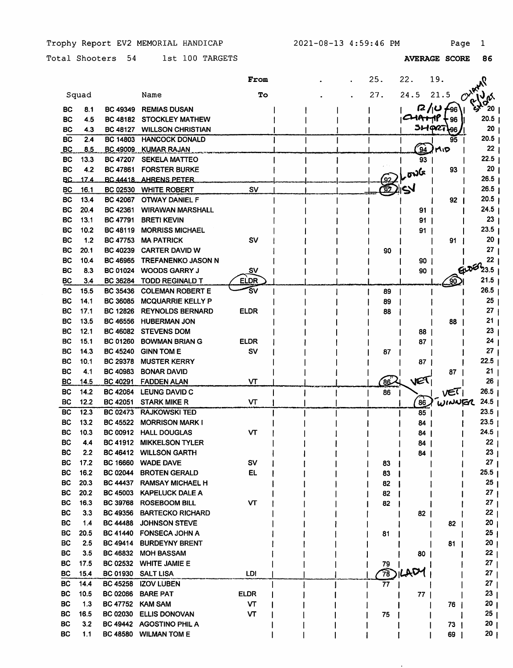Trophy Report EV2 MEMORIAL HANDICAP 2021-08-13 4:59:46 PM Page 1

Total Shooters 54 1st 100 TARGETS

|            |       |                 |                           | From        |  | 25.            | 22.             | 19.                |                      |  |
|------------|-------|-----------------|---------------------------|-------------|--|----------------|-----------------|--------------------|----------------------|--|
|            | Squad |                 | Name                      | To          |  | 27.            | 24.5            | 21.5               | Ω                    |  |
| BС         | 8.1   | <b>BC 49349</b> | <b>REMIAS DUSAN</b>       |             |  |                |                 | $7/10$ $\sqrt{96}$ | ⊢ 20                 |  |
| <b>BC</b>  | 4.5   |                 | BC 48182 STOCKLEY MATHEW  |             |  |                | <b>CHATTP</b>   | <b>96</b>          | 20.5                 |  |
| ВC         | 4.3   | <b>BC 48127</b> | <b>WILLSON CHRISTIAN</b>  |             |  |                |                 | $51 - 927 + 96$    | 20                   |  |
| <b>BC</b>  | 2.4   | <b>BC 14803</b> | <b>HANCOCK DONALD</b>     |             |  |                |                 | 95                 | 20.5                 |  |
| <u>_BC</u> | 8.5   | <b>BC 49009</b> | <b>KUMAR RAJAN</b>        |             |  |                | $^{'}94$        | MID                | 22                   |  |
| BC         | 13.3  | <b>BC 47207</b> | <b>SEKELA MATTEO</b>      |             |  |                | 93              |                    | 22.5                 |  |
| BC         | 4.2   | <b>BC 47861</b> | <b>FORSTER BURKE</b>      |             |  |                |                 | 93                 | 20                   |  |
| BC.        | 17.4  |                 | BC 44418 AHRENS PETER     |             |  |                | $\omega$        |                    | 26.5                 |  |
| <b>BC</b>  | 16.1  | <b>BC 02530</b> | <b>WHITE ROBERT</b>       | <b>SV</b>   |  |                |                 |                    | $26.5$ $\frac{1}{2}$ |  |
| BС         | 13.4  | <b>BC 42067</b> | <b>OTWAY DANIEL F</b>     |             |  |                |                 | 92                 | 20.5 <sub>1</sub>    |  |
| ВC         | 20.4  | BC 42361        | <b>WIRAWAN MARSHALL</b>   |             |  |                | 91 I            |                    | 24.5                 |  |
| BC         | 13.1  | <b>BC 47791</b> | <b>BRETI KEVIN</b>        |             |  |                | 91              |                    | 23                   |  |
| BC         | 10.2  | <b>BC 48119</b> | <b>MORRISS MICHAEL</b>    |             |  |                | 91              |                    | 23.5                 |  |
| BC         | 1.2   | <b>BC 47753</b> | <b>MA PATRICK</b>         | <b>SV</b>   |  |                |                 | 91                 | 20                   |  |
| BС         | 20.1  | <b>BC 40239</b> | <b>CARTER DAVID W</b>     |             |  | 90             |                 |                    | 27                   |  |
| BC         | 10.4  | <b>BC 46965</b> | TREFANENKO JASON N        |             |  |                | 90              |                    | 22                   |  |
| BС         | 8.3   | <b>BC 01024</b> | <b>WOODS GARRY J</b>      | Sν          |  |                | 90              |                    | <b>లె</b> 23.5       |  |
| BС         | 3.4   | <b>BC 36284</b> | <b>TODD REGINALD T</b>    | <b>ELDR</b> |  |                |                 |                    | 21.5                 |  |
| ВC         | 15.5  | <b>BC 35436</b> | <b>COLEMAN ROBERT E</b>   | s٧          |  | 89             |                 |                    | 26.5                 |  |
| BC         | 14.1  | <b>BC 36085</b> | <b>MCQUARRIE KELLY P</b>  |             |  | 89             |                 |                    | 25                   |  |
| BC         | 17.1  | <b>BC 12826</b> | <b>REYNOLDS BERNARD</b>   | <b>ELDR</b> |  | 88             |                 |                    | 27                   |  |
| ВC         | 13.5  | <b>BC 46556</b> | <b>HUBERMAN JON</b>       |             |  |                |                 | 88                 | 21                   |  |
| BС         | 12.1  | <b>BC 46082</b> | <b>STEVENS DOM</b>        |             |  |                | 88              |                    | 23                   |  |
| BС         | 15.1  | <b>BC 01260</b> | <b>BOWMAN BRIAN G</b>     | ELDR        |  |                | 87              |                    | 24                   |  |
| BС         | 14.3  | <b>BC 45240</b> | <b>GINN TOM E</b>         | sv          |  | 87             |                 |                    | 27                   |  |
| BС         | 10.1  | <b>BC 29378</b> | <b>MUSTER KERRY</b>       |             |  |                | 87 <sup>1</sup> |                    | 22.5                 |  |
| <b>BC</b>  | 4.1   | <b>BC 40983</b> | <b>BONAR DAVID</b>        |             |  |                |                 | 87                 | 21                   |  |
| BC         | 14.5  | <b>BC 40291</b> | <b>FADDEN ALAN</b>        | VT          |  | <u>86</u>      | VET             |                    | 26                   |  |
| BC         | 14.2  | <b>BC 42064</b> | LEUNG DAVID C             |             |  | 86             |                 | VET                | 26.5                 |  |
| BC         | 12.2  | <b>BC 42051</b> | <b>STARK MIKE R</b>       | VТ          |  |                | 86              | ้พเพมศา            | 24.5                 |  |
| BC         | 12.3  | <b>BC 02473</b> | <b>RAJKOWSKI TED</b>      |             |  |                | 85              |                    | 23.5                 |  |
| BС         | 13.2  | BC 45522        | <b>MORRISON MARK I</b>    |             |  |                | 84              |                    | 23.5                 |  |
| BC         | 10.3  | BC 00912        | <b>HALL DOUGLAS</b>       | VΤ          |  |                | 84              |                    | 24.5                 |  |
| <b>BC</b>  | 4.4   | <b>BC 41912</b> | <b>MIKKELSON TYLER</b>    |             |  |                | 84              |                    | 22                   |  |
| <b>BC</b>  | 2.2   |                 | BC 46412 WILLSON GARTH    |             |  |                | 84 I            |                    | 23 <sub>1</sub>      |  |
| BC         | 17.2  | <b>BC 16660</b> | <b>WADE DAVE</b>          | sv          |  | 83             |                 |                    | ו 27                 |  |
| BС         | 16.2  | <b>BC 02044</b> | <b>BROTEN GERALD</b>      | EL          |  | 83             |                 |                    | $25.5$               |  |
| BС         | 20.3  |                 | BC 44437 RAMSAY MICHAEL H |             |  | 82             |                 |                    | 25 <sub>1</sub>      |  |
| BС         | 20.2  | <b>BC 45003</b> | <b>KAPELUCK DALE A</b>    |             |  | 82             |                 |                    | 27                   |  |
| BC         | 16.3  | <b>BC 39768</b> | <b>ROSEBOOM BILL</b>      | VТ          |  | 82             |                 |                    | 27                   |  |
| <b>BC</b>  | 3.3   | <b>BC 49356</b> | <b>BARTECKO RICHARD</b>   |             |  |                | 82              |                    | 22                   |  |
| <b>BC</b>  | 1.4   | <b>BC 44488</b> | <b>JOHNSON STEVE</b>      |             |  |                |                 | 82                 | 20                   |  |
| BC         | 20.5  |                 | BC 41440 FONSECA JOHN A   |             |  | 81             |                 |                    | 25                   |  |
| BC         | 2.5   | <b>BC 49414</b> | <b>BURDEYNY BRENT</b>     |             |  |                |                 | 81                 | 20                   |  |
| BC         | 3.5   | <b>BC 46832</b> | <b>MOH BASSAM</b>         |             |  |                | 80              |                    | 22                   |  |
| <b>BC</b>  | 17.5  | <b>BC 02532</b> | <b>WHITE JAMIE E</b>      |             |  | 79             |                 |                    | 27                   |  |
| BC.        | 15.4  | <b>BC 01930</b> | <b>SALT LISA</b>          | LDI.        |  | $\widehat{78}$ | ጉረት             |                    | 27                   |  |
| BC         | 14.4  | <b>BC 45258</b> | <b>IZOV LUBEN</b>         |             |  | 77             |                 |                    | 27                   |  |
| BC         | 10.5  | <b>BC 02066</b> | <b>BARE PAT</b>           | <b>ELDR</b> |  |                | 77 I            |                    | 23                   |  |
| BC.        | 1.3   | <b>BC 47752</b> | <b>KAM SAM</b>            | VТ          |  |                |                 | 76                 | 20                   |  |
| <b>BC</b>  | 16.5  | <b>BC 02030</b> | <b>ELLIS DONOVAN</b>      | VТ          |  | 75             |                 |                    | 25                   |  |
| <b>BC</b>  | 3.2   |                 | BC 49442 AGOSTINO PHIL A  |             |  |                |                 | 73                 | 20                   |  |
| BC         | 1.1   |                 | BC 48580 WILMAN TOM E     |             |  |                |                 | 69                 | 20 <sub>1</sub>      |  |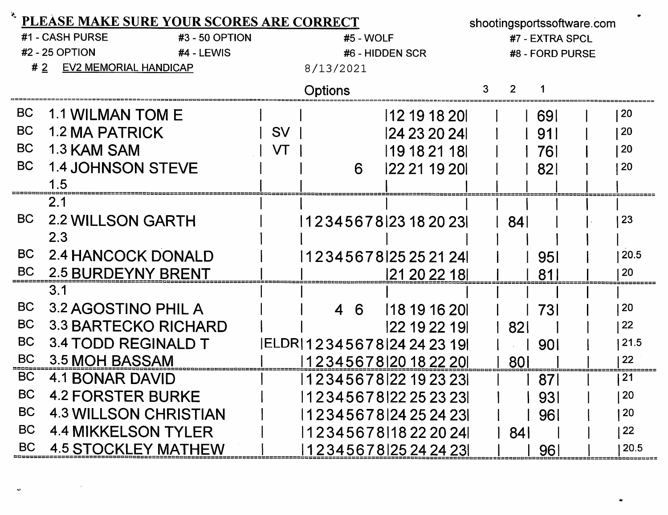|           | PLEASE MAKE SURE YOUR SCORES ARE CORRECT |           |                                     |               |   |                 |                 | shootingsportssoftware.com |  |  |  |
|-----------|------------------------------------------|-----------|-------------------------------------|---------------|---|-----------------|-----------------|----------------------------|--|--|--|
|           | #1 - CASH PURSE<br>#3 - 50 OPTION        |           | #5 - WOLF                           |               |   | #7 - EXTRA SPCL |                 |                            |  |  |  |
|           | #2 - 25 OPTION<br>#4 - LEWIS             |           | #6 - HIDDEN SCR                     |               |   |                 | #8 - FORD PURSE |                            |  |  |  |
| #2        | EV2 MEMORIAL HANDICAP                    |           | 8/13/2021                           |               |   |                 |                 |                            |  |  |  |
|           |                                          |           | Options                             |               | 3 | 2               |                 |                            |  |  |  |
| BC        | 1.1 WILMAN TOM E                         |           |                                     | 12 19 18 20   |   |                 | 691             | 20                         |  |  |  |
| <b>BC</b> | <b>1.2 MA PATRICK</b>                    | <b>SV</b> |                                     | 124 23 20 24  |   |                 | 911             | <b>20</b>                  |  |  |  |
| <b>BC</b> | 1.3 KAM SAM                              | VT        |                                     | 19 18 21 18   |   |                 | 761             | 20                         |  |  |  |
| <b>BC</b> | <b>1.4 JOHNSON STEVE</b>                 |           | 6                                   | 122 21 19 201 |   |                 | <b>821</b>      | 20                         |  |  |  |
|           | 1.5                                      |           |                                     |               |   |                 |                 |                            |  |  |  |
|           | 2.1                                      |           |                                     |               |   |                 |                 |                            |  |  |  |
| <b>BC</b> | <b>2.2 WILLSON GARTH</b>                 |           | 123456781231820231                  |               |   | 841             |                 | 23                         |  |  |  |
|           | 2.3                                      |           |                                     |               |   |                 |                 |                            |  |  |  |
| <b>BC</b> | 2.4 HANCOCK DONALD                       |           | 123456781252521241                  |               |   |                 | <b>951</b>      | 20.5                       |  |  |  |
| <b>BC</b> | <b>2.5 BURDEYNY BRENT</b>                |           |                                     | 121 20 22 181 |   |                 | 81              | 20                         |  |  |  |
|           | 3.1                                      |           |                                     |               |   |                 |                 |                            |  |  |  |
| <b>BC</b> | 3.2 AGOSTINO PHIL A                      |           | 4 6                                 | 118 19 16 20  |   |                 | 731             | 20                         |  |  |  |
| <b>BC</b> | 3.3 BARTECKO RICHARD                     |           |                                     | 122 19 22 191 |   | <b>821</b>      |                 | 22                         |  |  |  |
| <b>BC</b> | 3.4 TODD REGINALD T                      |           | ELDR 12345678 24242319              |               |   |                 | 901             | 21.5                       |  |  |  |
| <b>BC</b> | 3.5 MOH BASSAM                           |           | 12345678 20182220                   |               |   | <b>801</b>      |                 | 22                         |  |  |  |
| <b>BC</b> | <b>4.1 BONAR DAVID</b>                   |           | 12345678 22 19 23 23                |               |   |                 | 87              | 21                         |  |  |  |
| <b>BC</b> | <b>4.2 FORSTER BURKE</b>                 |           | 1 2 3 4 5 6 7 8 1 2 2 2 5 2 3 2 3 1 |               |   |                 | 931             | 20                         |  |  |  |
| <b>BC</b> | <b>4.3 WILLSON CHRISTIAN</b>             |           | 123456781242524231                  |               |   |                 | 961             | 20                         |  |  |  |
| <b>BC</b> | <b>4.4 MIKKELSON TYLER</b>               |           | 123456781182220241                  |               |   | 84              |                 | 22                         |  |  |  |
| <b>BC</b> | <b>4.5 STOCKLEY MATHEW</b>               |           | 123456781252424231                  |               |   |                 | 961             | 20.5                       |  |  |  |

 $\ddot{\phantom{0}}$ 

 $\mathbf{v}$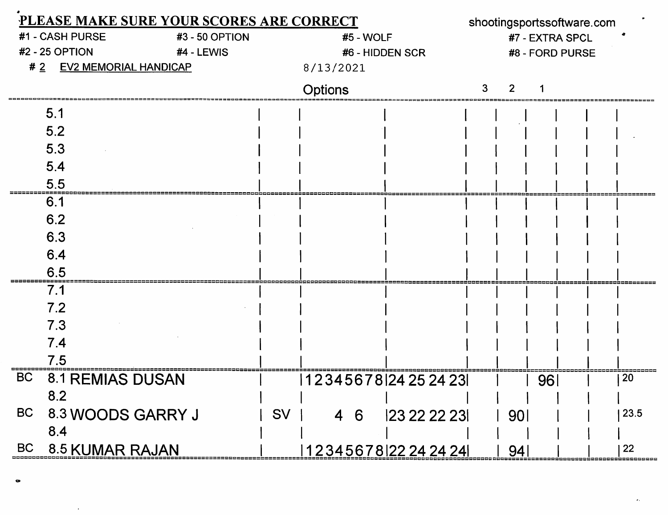| PLEASE MAKE SURE YOUR SCORES ARE CORRECT |                                   |           |                    |                 |                 | shootingsportssoftware.com |                 |      |  |  |  |
|------------------------------------------|-----------------------------------|-----------|--------------------|-----------------|-----------------|----------------------------|-----------------|------|--|--|--|
|                                          | #1 - CASH PURSE<br>#3 - 50 OPTION | #5 - WOLF |                    |                 | #7 - EXTRA SPCL |                            |                 |      |  |  |  |
|                                          | #2 - 25 OPTION<br>#4 - LEWIS      |           | #6 - HIDDEN SCR    |                 |                 |                            | #8 - FORD PURSE |      |  |  |  |
| #2                                       | <b>EV2 MEMORIAL HANDICAP</b>      |           | 8/13/2021          |                 |                 |                            |                 |      |  |  |  |
|                                          |                                   |           | <b>Options</b>     |                 |                 | 2                          |                 |      |  |  |  |
|                                          | 5.1                               |           |                    |                 |                 |                            |                 |      |  |  |  |
|                                          | 5.2                               |           |                    |                 |                 |                            |                 |      |  |  |  |
|                                          | 5.3                               |           |                    |                 |                 |                            |                 |      |  |  |  |
|                                          | 5.4                               |           |                    |                 |                 |                            |                 |      |  |  |  |
|                                          | 5.5                               |           |                    |                 |                 |                            |                 |      |  |  |  |
|                                          | 6.1                               |           |                    |                 |                 |                            |                 |      |  |  |  |
|                                          | 6.2                               |           |                    |                 |                 |                            |                 |      |  |  |  |
|                                          | 6.3                               |           |                    |                 |                 |                            |                 |      |  |  |  |
|                                          | 6.4                               |           |                    |                 |                 |                            |                 |      |  |  |  |
|                                          | 6.5                               |           |                    |                 |                 |                            |                 |      |  |  |  |
|                                          | 7.1                               |           |                    |                 |                 |                            |                 |      |  |  |  |
|                                          | 7.2                               |           |                    |                 |                 |                            |                 |      |  |  |  |
|                                          | 7.3                               |           |                    |                 |                 |                            |                 |      |  |  |  |
|                                          | 7.4                               |           |                    |                 |                 |                            |                 |      |  |  |  |
|                                          | 7.5                               |           |                    |                 |                 |                            |                 |      |  |  |  |
| <b>BC</b>                                | <b>8.1 REMIAS DUSAN</b>           |           | 123456781242524231 |                 |                 |                            | 96              | 20   |  |  |  |
|                                          | 8.2                               |           |                    |                 |                 |                            |                 |      |  |  |  |
| <b>BC</b>                                | 8.3 WOODS GARRY J                 | SV        |                    | 4 6 23 22 22 23 |                 | 90 <sub>l</sub>            |                 | 23.5 |  |  |  |
|                                          | 8.4                               |           |                    |                 |                 |                            |                 |      |  |  |  |
| <b>BC</b>                                | 8.5 KUMAR RAJAN                   |           | 123456781222424241 |                 |                 | -94                        |                 | 22   |  |  |  |

 $\alpha$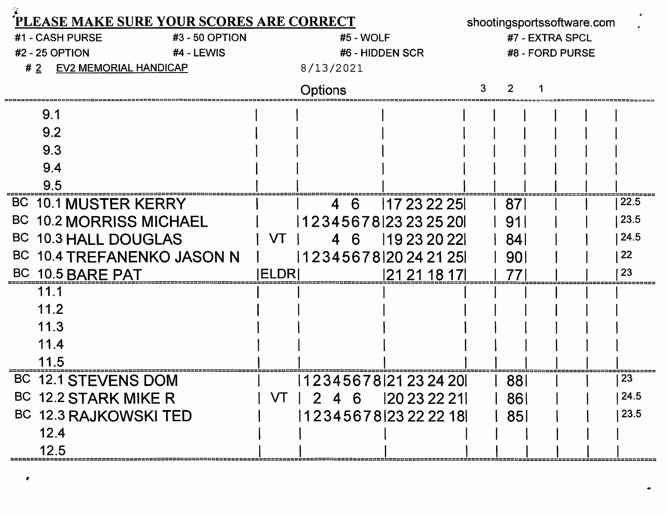|                                   |      |                |                  |                              | <b>PLEASE MAKE SURE YOUR SCORES ARE CORRECT</b> |             |                               |           |     |                 |  |              |                 |             |  | shootingsportssoftware.com |  |      |
|-----------------------------------|------|----------------|------------------|------------------------------|-------------------------------------------------|-------------|-------------------------------|-----------|-----|-----------------|--|--------------|-----------------|-------------|--|----------------------------|--|------|
| #1 - CASH PURSE<br>#3 - 50 OPTION |      |                |                  |                              |                                                 |             |                               | #5 - WOLF |     |                 |  |              | #7 - EXTRA SPCL |             |  |                            |  |      |
|                                   |      | #2 - 25 OPTION |                  |                              | #4 - LEWIS                                      |             |                               |           |     | #6 - HIDDEN SCR |  |              |                 |             |  | #8 - FORD PURSE            |  |      |
| #2                                |      |                |                  | <b>EV2 MEMORIAL HANDICAP</b> |                                                 |             | 8/13/2021                     |           |     |                 |  |              |                 |             |  |                            |  |      |
|                                   |      |                |                  |                              |                                                 |             | <b>Options</b>                |           |     |                 |  |              | 3               |             |  |                            |  |      |
|                                   | 9.1  |                |                  |                              |                                                 |             |                               |           |     |                 |  |              |                 |             |  |                            |  |      |
|                                   | 9.2  |                |                  |                              |                                                 |             |                               |           |     |                 |  |              |                 |             |  |                            |  |      |
|                                   | 9.3  |                |                  |                              |                                                 |             |                               |           |     |                 |  |              |                 |             |  |                            |  |      |
|                                   | 9.4  |                |                  |                              |                                                 |             |                               |           |     |                 |  |              |                 |             |  |                            |  |      |
|                                   | 9.5  |                |                  |                              |                                                 |             |                               |           |     |                 |  |              |                 |             |  |                            |  |      |
|                                   |      |                |                  | BC 10.1 MUSTER KERRY         |                                                 |             |                               | 4         | - 6 |                 |  | 117 23 22 25 |                 | 87          |  |                            |  | 22.5 |
|                                   |      |                |                  | BC 10.2 MORRISS MICHAEL      |                                                 |             | 1 2 3 4 5 6 7 8   23 23 25 20 |           |     |                 |  |              |                 | 91          |  |                            |  | 23.5 |
|                                   |      |                |                  | BC 10.3 HALL DOUGLAS         |                                                 | VT          |                               |           | -6  |                 |  | 119 23 20 22 |                 | <b>84</b>   |  |                            |  | 24.5 |
|                                   |      |                |                  |                              | BC 10.4 TREFANENKO JASON N                      |             | 12345678 20242125             |           |     |                 |  |              |                 | <b>901</b>  |  |                            |  | 22   |
|                                   |      |                | BC 10.5 BARE PAT |                              |                                                 | <b>ELDR</b> |                               |           |     |                 |  | 21 21 18 17  |                 | 77          |  |                            |  | 23   |
|                                   | 11.1 |                |                  |                              |                                                 |             |                               |           |     |                 |  |              |                 |             |  |                            |  |      |
|                                   | 11.2 |                |                  |                              |                                                 |             |                               |           |     |                 |  |              |                 |             |  |                            |  |      |
|                                   | 11.3 |                |                  |                              |                                                 |             |                               |           |     |                 |  |              |                 |             |  |                            |  |      |
|                                   | 11.4 |                |                  |                              |                                                 |             |                               |           |     |                 |  |              |                 |             |  |                            |  |      |
|                                   | 11.5 |                |                  |                              |                                                 |             |                               |           |     |                 |  |              |                 |             |  |                            |  |      |
|                                   |      |                |                  | BC 12.1 STEVENS DOM          |                                                 |             | 12345678 21 23 24 20          |           |     |                 |  |              |                 | 88          |  |                            |  | 23   |
|                                   |      |                |                  | BC 12.2 STARK MIKE R         |                                                 |             | $VT$   2 4 6   20 23 22 21    |           |     |                 |  |              |                 | 86          |  |                            |  | 24.5 |
|                                   |      |                |                  | BC 12.3 RAJKOWSKI TED        |                                                 |             | 123456781232222181            |           |     |                 |  |              |                 | $\vert$ 851 |  |                            |  | 23.5 |
|                                   | 12.4 |                |                  |                              |                                                 |             |                               |           |     |                 |  |              |                 |             |  |                            |  |      |
|                                   | 12.5 |                |                  |                              |                                                 |             |                               |           |     |                 |  |              |                 |             |  |                            |  |      |

 $\rightarrow$  $\bullet$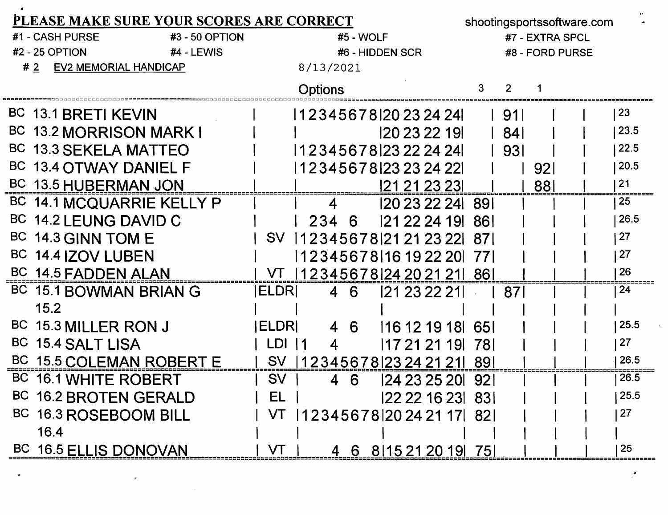| PLEASE MAKE SURE YOUR SCORES ARE CORRECT |                                 | shootingsportssoftware.com          |            |                 |      |  |  |  |  |
|------------------------------------------|---------------------------------|-------------------------------------|------------|-----------------|------|--|--|--|--|
| #1 - CASH PURSE<br>#3 - 50 OPTION        |                                 | #5 - WOLF                           |            | #7 - EXTRA SPCL |      |  |  |  |  |
| <b>#2 - 25 OPTION</b><br>#4 - LEWIS      |                                 | #6 - HIDDEN SCR                     |            | #8 - FORD PURSE |      |  |  |  |  |
| <b>EV2 MEMORIAL HANDICAP</b><br>#2       | 8/13/2021                       |                                     |            |                 |      |  |  |  |  |
|                                          | <b>Options</b>                  |                                     | 3<br>2     |                 |      |  |  |  |  |
| BC 13.1 BRETI KEVIN                      |                                 | 12345678 20232424                   | -911       |                 | 23   |  |  |  |  |
| BC 13.2 MORRISON MARK I                  |                                 | 120 23 22 191                       | <b>841</b> |                 | 23.5 |  |  |  |  |
| BC 13.3 SEKELA MATTEO                    |                                 | 12345678 2322 24 24                 | 931        |                 | 22.5 |  |  |  |  |
| BC 13.4 OTWAY DANIEL F                   |                                 | 1 2 3 4 5 6 7 8 1 2 3 2 3 2 4 2 2 1 |            | 921             | 20.5 |  |  |  |  |
| BC 13.5 HUBERMAN JON                     |                                 | 121 21 23 231                       |            | 881             | 21   |  |  |  |  |
| BC 14.1 MCQUARRIE KELLY P                | 4                               | 120 23 22 24 89 1                   |            |                 | 25   |  |  |  |  |
| BC 14.2 LEUNG DAVID C                    | 234                             | 121 22 24 19 1<br>6                 | -861       |                 | 26.5 |  |  |  |  |
| BC 14.3 GINN TOM E                       | <b>SV</b>                       | 123456781212123221                  | .871       |                 | 27   |  |  |  |  |
| BC 14.4 IZOV LUBEN                       |                                 | 12345678 16 19 22 20                | -771       |                 | 27   |  |  |  |  |
| BC 14.5 FADDEN ALAN                      | VT                              | 123456781242021211                  | -861       |                 | 26   |  |  |  |  |
| BC 15.1 BOWMAN BRIAN G                   | <b>IELDRI</b><br>$\overline{4}$ | 6<br>121 23 22 211                  | 87         |                 | 24   |  |  |  |  |
| 15.2                                     |                                 |                                     |            |                 |      |  |  |  |  |
| BC 15.3 MILLER RON J                     | <b>ELDRI</b>                    | 4 6<br>116 12 19 18 65              |            |                 | 25.5 |  |  |  |  |
| <b>BC</b><br><b>15.4 SALT LISA</b>       | LDI<br>$\vert$ 11<br>4          | 17 21 21 19                         | -781       |                 | 27   |  |  |  |  |
| BC 15.5 COLEMAN ROBERT E                 | <b>SV</b>                       | 12345678 23242121  89               |            |                 | 26.5 |  |  |  |  |
| BC 16.1 WHITE ROBERT                     | <b>SV</b><br>4                  | 124 23 25 201<br>6                  | <u>921</u> |                 | 26.5 |  |  |  |  |
| BC 16.2 BROTEN GERALD                    | EL                              | 22 22 16 23 83                      |            |                 | 25.5 |  |  |  |  |
| BC 16.3 ROSEBOOM BILL                    |                                 | VT  12345678 20242117  82           |            |                 | 27   |  |  |  |  |
| 16.4                                     |                                 |                                     |            |                 |      |  |  |  |  |
| BC 16.5 ELLIS DONOVAN                    | VT                              | 4 6 8 15 21 20 19 75                |            |                 | 25   |  |  |  |  |

 $\langle \cdot \rangle$ 

٠